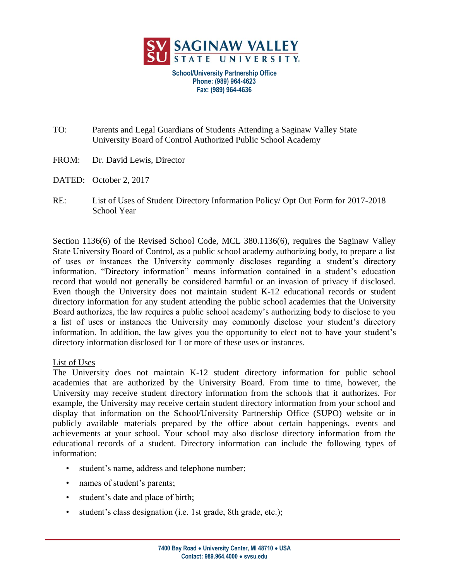

**School/University Partnership Office Phone: (989) 964-4623 Fax: (989) 964-4636**

- TO: Parents and Legal Guardians of Students Attending a Saginaw Valley State University Board of Control Authorized Public School Academy
- FROM: Dr. David Lewis, Director
- DATED: October 2, 2017
- RE: List of Uses of Student Directory Information Policy/ Opt Out Form for 2017-2018 School Year

Section 1136(6) of the Revised School Code, MCL 380.1136(6), requires the Saginaw Valley State University Board of Control, as a public school academy authorizing body, to prepare a list of uses or instances the University commonly discloses regarding a student's directory information. "Directory information" means information contained in a student's education record that would not generally be considered harmful or an invasion of privacy if disclosed. Even though the University does not maintain student K-12 educational records or student directory information for any student attending the public school academies that the University Board authorizes, the law requires a public school academy's authorizing body to disclose to you a list of uses or instances the University may commonly disclose your student's directory information. In addition, the law gives you the opportunity to elect not to have your student's directory information disclosed for 1 or more of these uses or instances.

## List of Uses

The University does not maintain K-12 student directory information for public school academies that are authorized by the University Board. From time to time, however, the University may receive student directory information from the schools that it authorizes. For example, the University may receive certain student directory information from your school and display that information on the School/University Partnership Office (SUPO) website or in publicly available materials prepared by the office about certain happenings, events and achievements at your school. Your school may also disclose directory information from the educational records of a student. Directory information can include the following types of information:

- student's name, address and telephone number;
- names of student's parents;
- student's date and place of birth;
- student's class designation (i.e. 1st grade, 8th grade, etc.);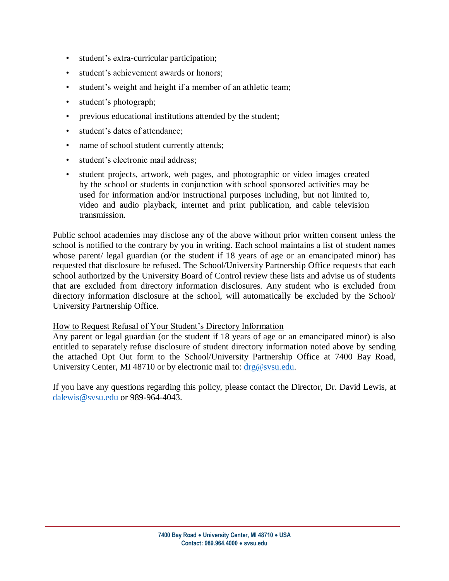- student's extra-curricular participation;
- student's achievement awards or honors;
- student's weight and height if a member of an athletic team;
- student's photograph;
- previous educational institutions attended by the student;
- student's dates of attendance;
- name of school student currently attends;
- student's electronic mail address;
- student projects, artwork, web pages, and photographic or video images created by the school or students in conjunction with school sponsored activities may be used for information and/or instructional purposes including, but not limited to, video and audio playback, internet and print publication, and cable television transmission.

Public school academies may disclose any of the above without prior written consent unless the school is notified to the contrary by you in writing. Each school maintains a list of student names whose parent/ legal guardian (or the student if 18 years of age or an emancipated minor) has requested that disclosure be refused. The School/University Partnership Office requests that each school authorized by the University Board of Control review these lists and advise us of students that are excluded from directory information disclosures. Any student who is excluded from directory information disclosure at the school, will automatically be excluded by the School/ University Partnership Office.

## How to Request Refusal of Your Student's Directory Information

Any parent or legal guardian (or the student if 18 years of age or an emancipated minor) is also entitled to separately refuse disclosure of student directory information noted above by sending the attached Opt Out form to the School/University Partnership Office at 7400 Bay Road, University Center, MI 48710 or by electronic mail to:  $\frac{drg@svsu.edu}{dt}$ .

If you have any questions regarding this policy, please contact the Director, Dr. David Lewis, at [dalewis@svsu.edu](mailto:dalewis@svsu.edu) or 989-964-4043.